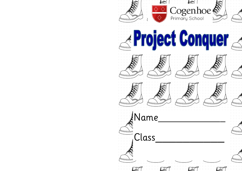













<u>.</u>Name

Class

ray



 $\Gamma$ 



LET 1







ray

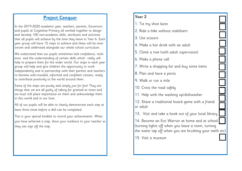## **Project Conquer**

In the 2019-2020 academic year, teachers, parents, Governors and pupils at Cogenhoe Primary all worked together to design and develop 100 non-academic skills, attributes and activities that all pupils will achieve by the time they leave in Year 6. Each year group will have 15 steps to achieve and these will be interwoven and celebrated alongside our whole school curriculum.

We understand that our pupils sometimes lack confidence, resilience and the understanding of certain skills which really will help to prepare them for the wider world. Our steps in each year group will help and give children the opportunity to work independently and in partnership with their parents and teachers to become well-rounded, informed and confident citizens, ready to contribute positively to the world around them.

Some of the steps are purely and simply just for fun! They are things that we are all guilty of taking for granted at times and we must still place importance on them and acknowledge them in this world and in our lives.

All of our pupils will be able to clearly demonstrate each step at least three times before a skill can be completed.

This is your special booklet to record your achievements. When you have achieved a step, show your evidence to your teacher so they can sign off the step.

## **Year 2**

- 1. Tie my shoe laces
- 2. Ride a bike without stabilisers
- 3. Use scissors
- 4. Make a hot drink with an adult
- 5. Climb a tree (with adult supervision)
- 6. Make a phone call
- 7. Write a shopping list and buy some items
- 8. Plan and have a picnic
- 9. Walk or run a mile
- 10. Cross the road safely
- 11. Help with the washing up/dishwasher
- 12. Share a traditional board game with a friend or adult
- 13. Visit and take a book out of your local library
- 14. Become an Eco Warrior at home and at school (turning lights off when you leave a room, turning the water tap off when you are brushing your teeth etc)
- 15. Visit a museum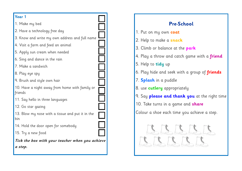## **Year 1** 1. Make my bed 2. Have a technology free day 3. Know and write my own address and full name 4. Visit a farm and feed an animal 5. Apply sun cream when needed 6. Sing and dance in the rain 7. Make a sandwich 8. Play eye spy 9. Brush and style own hair 10. Have a night away from home with family or friends 11. Say hello in three languages 12. Go star gazing 13. Blow my nose with a tissue and put it in the bin 14. Hold the door open for somebody 15. Try a new food **Tick the box with your teacher when you achieve a step.**